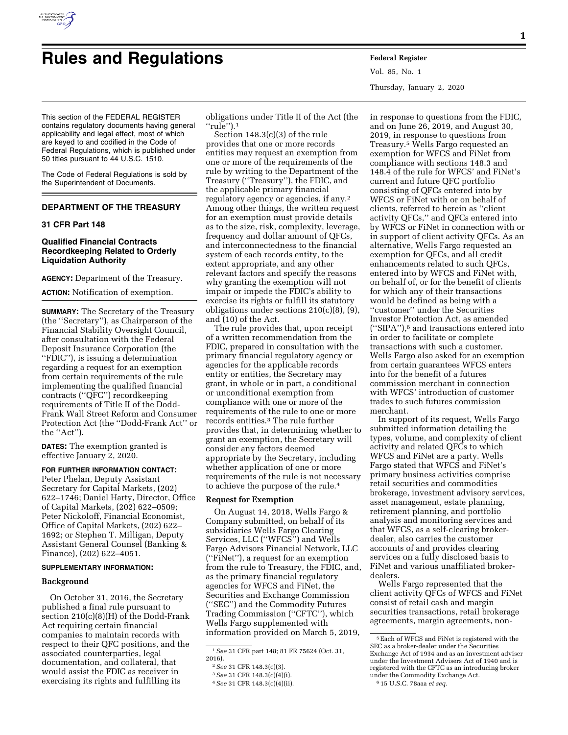

# **Rules and Regulations Federal Register**

Vol. 85, No. 1 Thursday, January 2, 2020

This section of the FEDERAL REGISTER contains regulatory documents having general applicability and legal effect, most of which are keyed to and codified in the Code of Federal Regulations, which is published under 50 titles pursuant to 44 U.S.C. 1510.

The Code of Federal Regulations is sold by the Superintendent of Documents.

# **DEPARTMENT OF THE TREASURY**

# **31 CFR Part 148**

## **Qualified Financial Contracts Recordkeeping Related to Orderly Liquidation Authority**

**AGENCY:** Department of the Treasury.

**ACTION:** Notification of exemption.

**SUMMARY:** The Secretary of the Treasury (the ''Secretary''), as Chairperson of the Financial Stability Oversight Council, after consultation with the Federal Deposit Insurance Corporation (the ''FDIC''), is issuing a determination regarding a request for an exemption from certain requirements of the rule implementing the qualified financial contracts (''QFC'') recordkeeping requirements of Title II of the Dodd-Frank Wall Street Reform and Consumer Protection Act (the ''Dodd-Frank Act'' or the ''Act'').

**DATES:** The exemption granted is effective January 2, 2020.

## **FOR FURTHER INFORMATION CONTACT:**

Peter Phelan, Deputy Assistant Secretary for Capital Markets, (202) 622–1746; Daniel Harty, Director, Office of Capital Markets, (202) 622–0509; Peter Nickoloff, Financial Economist, Office of Capital Markets, (202) 622– 1692; or Stephen T. Milligan, Deputy Assistant General Counsel (Banking & Finance), (202) 622–4051.

### **SUPPLEMENTARY INFORMATION:**

#### **Background**

On October 31, 2016, the Secretary published a final rule pursuant to section 210(c)(8)(H) of the Dodd-Frank Act requiring certain financial companies to maintain records with respect to their QFC positions, and the associated counterparties, legal documentation, and collateral, that would assist the FDIC as receiver in exercising its rights and fulfilling its

obligations under Title II of the Act (the ''rule'').1

Section 148.3(c)(3) of the rule provides that one or more records entities may request an exemption from one or more of the requirements of the rule by writing to the Department of the Treasury (''Treasury''), the FDIC, and the applicable primary financial regulatory agency or agencies, if any.2 Among other things, the written request for an exemption must provide details as to the size, risk, complexity, leverage, frequency and dollar amount of QFCs, and interconnectedness to the financial system of each records entity, to the extent appropriate, and any other relevant factors and specify the reasons why granting the exemption will not impair or impede the FDIC's ability to exercise its rights or fulfill its statutory obligations under sections 210(c)(8), (9), and (10) of the Act.

The rule provides that, upon receipt of a written recommendation from the FDIC, prepared in consultation with the primary financial regulatory agency or agencies for the applicable records entity or entities, the Secretary may grant, in whole or in part, a conditional or unconditional exemption from compliance with one or more of the requirements of the rule to one or more records entities.3 The rule further provides that, in determining whether to grant an exemption, the Secretary will consider any factors deemed appropriate by the Secretary, including whether application of one or more requirements of the rule is not necessary to achieve the purpose of the rule.4

## **Request for Exemption**

On August 14, 2018, Wells Fargo & Company submitted, on behalf of its subsidiaries Wells Fargo Clearing Services, LLC (''WFCS'') and Wells Fargo Advisors Financial Network, LLC (''FiNet''), a request for an exemption from the rule to Treasury, the FDIC, and, as the primary financial regulatory agencies for WFCS and FiNet, the Securities and Exchange Commission (''SEC'') and the Commodity Futures Trading Commission (''CFTC''), which Wells Fargo supplemented with information provided on March 5, 2019,

in response to questions from the FDIC, and on June 26, 2019, and August 30, 2019, in response to questions from Treasury.5 Wells Fargo requested an exemption for WFCS and FiNet from compliance with sections 148.3 and 148.4 of the rule for WFCS' and FiNet's current and future QFC portfolio consisting of QFCs entered into by WFCS or FiNet with or on behalf of clients, referred to herein as ''client activity QFCs,'' and QFCs entered into by WFCS or FiNet in connection with or in support of client activity QFCs. As an alternative, Wells Fargo requested an exemption for QFCs, and all credit enhancements related to such QFCs, entered into by WFCS and FiNet with, on behalf of, or for the benefit of clients for which any of their transactions would be defined as being with a ''customer'' under the Securities Investor Protection Act, as amended (''SIPA''),6 and transactions entered into in order to facilitate or complete transactions with such a customer. Wells Fargo also asked for an exemption from certain guarantees WFCS enters into for the benefit of a futures commission merchant in connection with WFCS' introduction of customer trades to such futures commission merchant.

In support of its request, Wells Fargo submitted information detailing the types, volume, and complexity of client activity and related QFCs to which WFCS and FiNet are a party. Wells Fargo stated that WFCS and FiNet's primary business activities comprise retail securities and commodities brokerage, investment advisory services, asset management, estate planning, retirement planning, and portfolio analysis and monitoring services and that WFCS, as a self-clearing brokerdealer, also carries the customer accounts of and provides clearing services on a fully disclosed basis to FiNet and various unaffiliated brokerdealers.

Wells Fargo represented that the client activity QFCs of WFCS and FiNet consist of retail cash and margin securities transactions, retail brokerage agreements, margin agreements, non-

<sup>1</sup>*See* 31 CFR part 148; 81 FR 75624 (Oct. 31, 2016).

<sup>2</sup>*See* 31 CFR 148.3(c)(3).

<sup>3</sup>*See* 31 CFR 148.3(c)(4)(i).

<sup>4</sup>*See* 31 CFR 148.3(c)(4)(ii).

<sup>5</sup>Each of WFCS and FiNet is registered with the SEC as a broker-dealer under the Securities Exchange Act of 1934 and as an investment adviser under the Investment Advisers Act of 1940 and is registered with the CFTC as an introducing broker under the Commodity Exchange Act. 6 15 U.S.C. 78aaa *et seq.*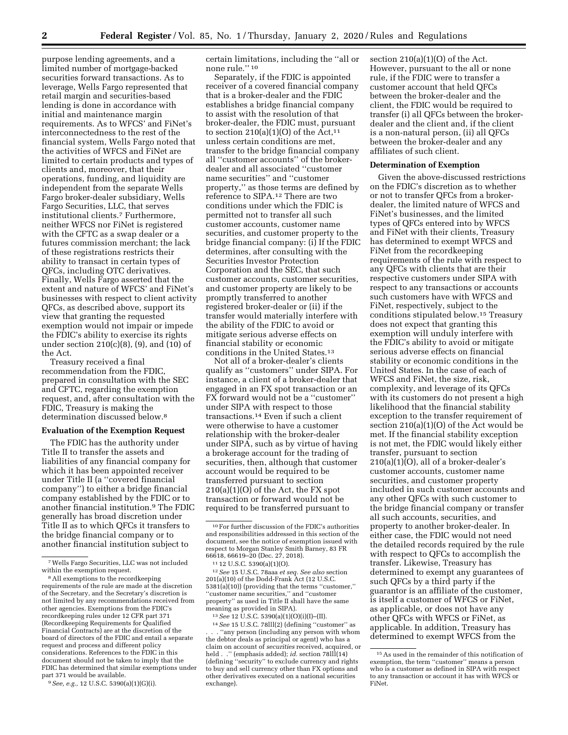purpose lending agreements, and a limited number of mortgage-backed securities forward transactions. As to leverage, Wells Fargo represented that retail margin and securities-based lending is done in accordance with initial and maintenance margin requirements. As to WFCS' and FiNet's interconnectedness to the rest of the financial system, Wells Fargo noted that the activities of WFCS and FiNet are limited to certain products and types of clients and, moreover, that their operations, funding, and liquidity are independent from the separate Wells Fargo broker-dealer subsidiary, Wells Fargo Securities, LLC, that serves institutional clients.7 Furthermore, neither WFCS nor FiNet is registered with the CFTC as a swap dealer or a futures commission merchant; the lack of these registrations restricts their ability to transact in certain types of QFCs, including OTC derivatives. Finally, Wells Fargo asserted that the extent and nature of WFCS' and FiNet's businesses with respect to client activity QFCs, as described above, support its view that granting the requested exemption would not impair or impede the FDIC's ability to exercise its rights under section 210(c)(8), (9), and (10) of the Act.

Treasury received a final recommendation from the FDIC, prepared in consultation with the SEC and CFTC, regarding the exemption request, and, after consultation with the FDIC, Treasury is making the determination discussed below.8

# **Evaluation of the Exemption Request**

The FDIC has the authority under Title II to transfer the assets and liabilities of any financial company for which it has been appointed receiver under Title II (a ''covered financial company'') to either a bridge financial company established by the FDIC or to another financial institution.9 The FDIC generally has broad discretion under Title II as to which QFCs it transfers to the bridge financial company or to another financial institution subject to

9*See, e.g.,* 12 U.S.C. 5390(a)(1)(G)(i).

certain limitations, including the ''all or none rule.'' 10

Separately, if the FDIC is appointed receiver of a covered financial company that is a broker-dealer and the FDIC establishes a bridge financial company to assist with the resolution of that broker-dealer, the FDIC must, pursuant to section  $210(a)(1)(0)$  of the Act,<sup>11</sup> unless certain conditions are met, transfer to the bridge financial company all ''customer accounts'' of the brokerdealer and all associated ''customer name securities'' and ''customer property,'' as those terms are defined by reference to SIPA.12 There are two conditions under which the FDIC is permitted not to transfer all such customer accounts, customer name securities, and customer property to the bridge financial company: (i) If the FDIC determines, after consulting with the Securities Investor Protection Corporation and the SEC, that such customer accounts, customer securities, and customer property are likely to be promptly transferred to another registered broker-dealer or (ii) if the transfer would materially interfere with the ability of the FDIC to avoid or mitigate serious adverse effects on financial stability or economic conditions in the United States.13

Not all of a broker-dealer's clients qualify as ''customers'' under SIPA. For instance, a client of a broker-dealer that engaged in an FX spot transaction or an FX forward would not be a ''customer'' under SIPA with respect to those transactions.14 Even if such a client were otherwise to have a customer relationship with the broker-dealer under SIPA, such as by virtue of having a brokerage account for the trading of securities, then, although that customer account would be required to be transferred pursuant to section  $210(a)(1)(O)$  of the Act, the FX spot transaction or forward would not be required to be transferred pursuant to

66618, 66619–20 (Dec. 27, 2018). 11 12 U.S.C. 5390(a)(1)(O). 12*See* 15 U.S.C. 78aaa *et seq. See also* section 201(a)(10) of the Dodd-Frank Act (12 U.S.C. 5381(a)(10)) (providing that the terms ''customer,'' ''customer name securities,'' and ''customer property'' as used in Title II shall have the same meaning as provided in SIPA).

13*See* 12 U.S.C. 5390(a)(1)(O)(i)(I)–(II).

14*See* 15 U.S.C. 78lll(2) (defining ''customer'' as "any person (including any person with whom the debtor deals as principal or agent) who has a claim on account of *securities* received, acquired, or held . ." (emphasis added); *id.* section 78lll(14) (defining ''security'' to exclude currency and rights to buy and sell currency other than FX options and other derivatives executed on a national securities exchange).

section 210(a)(1)(O) of the Act. However, pursuant to the all or none rule, if the FDIC were to transfer a customer account that held QFCs between the broker-dealer and the client, the FDIC would be required to transfer (i) all QFCs between the brokerdealer and the client and, if the client is a non-natural person, (ii) all QFCs between the broker-dealer and any affiliates of such client.

## **Determination of Exemption**

Given the above-discussed restrictions on the FDIC's discretion as to whether or not to transfer QFCs from a brokerdealer, the limited nature of WFCS and FiNet's businesses, and the limited types of QFCs entered into by WFCS and FiNet with their clients, Treasury has determined to exempt WFCS and FiNet from the recordkeeping requirements of the rule with respect to any QFCs with clients that are their respective customers under SIPA with respect to any transactions or accounts such customers have with WFCS and FiNet, respectively, subject to the conditions stipulated below.15 Treasury does not expect that granting this exemption will unduly interfere with the FDIC's ability to avoid or mitigate serious adverse effects on financial stability or economic conditions in the United States. In the case of each of WFCS and FiNet, the size, risk, complexity, and leverage of its QFCs with its customers do not present a high likelihood that the financial stability exception to the transfer requirement of section 210(a)(1)(O) of the Act would be met. If the financial stability exception is not met, the FDIC would likely either transfer, pursuant to section  $210(a)(1)(O)$ , all of a broker-dealer's customer accounts, customer name securities, and customer property included in such customer accounts and any other QFCs with such customer to the bridge financial company or transfer all such accounts, securities, and property to another broker-dealer. In either case, the FDIC would not need the detailed records required by the rule with respect to QFCs to accomplish the transfer. Likewise, Treasury has determined to exempt any guarantees of such QFCs by a third party if the guarantor is an affiliate of the customer, is itself a customer of WFCS or FiNet, as applicable, or does not have any other QFCs with WFCS or FiNet, as applicable. In addition, Treasury has determined to exempt WFCS from the

<sup>7</sup>Wells Fargo Securities, LLC was not included within the exemption request.

<sup>8</sup>All exemptions to the recordkeeping requirements of the rule are made at the discretion of the Secretary, and the Secretary's discretion is not limited by any recommendations received from other agencies. Exemptions from the FDIC's recordkeeping rules under 12 CFR part 371 (Recordkeeping Requirements for Qualified Financial Contracts) are at the discretion of the board of directors of the FDIC and entail a separate request and process and different policy considerations. References to the FDIC in this document should not be taken to imply that the FDIC has determined that similar exemptions under part 371 would be available.

<sup>10</sup>For further discussion of the FDIC's authorities and responsibilities addressed in this section of the document, see the notice of exemption issued with respect to Morgan Stanley Smith Barney, 83 FR<br>66618, 66619–20 (Dec. 27, 2018).

<sup>15</sup>As used in the remainder of this notification of exemption, the term ''customer'' means a person who is a customer as defined in SIPA with respect to any transaction or account it has with WFCS or FiNet.